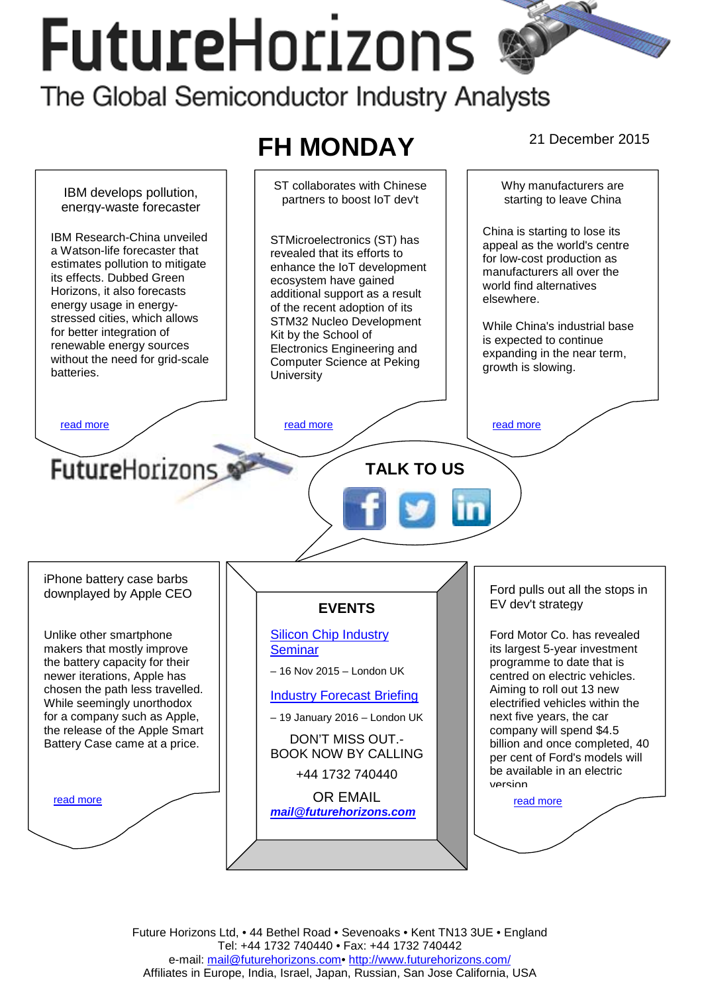# **FutureHorizons** The Global Semiconductor Industry Analysts



Future Horizons Ltd, • 44 Bethel Road • Sevenoaks • Kent TN13 3UE • England Tel: +44 1732 740440 • Fax: +44 1732 740442 e-mail: mail@futurehorizons.com• http://www.futurehorizons.com/ Affiliates in Europe, India, Israel, Japan, Russian, San Jose California, USA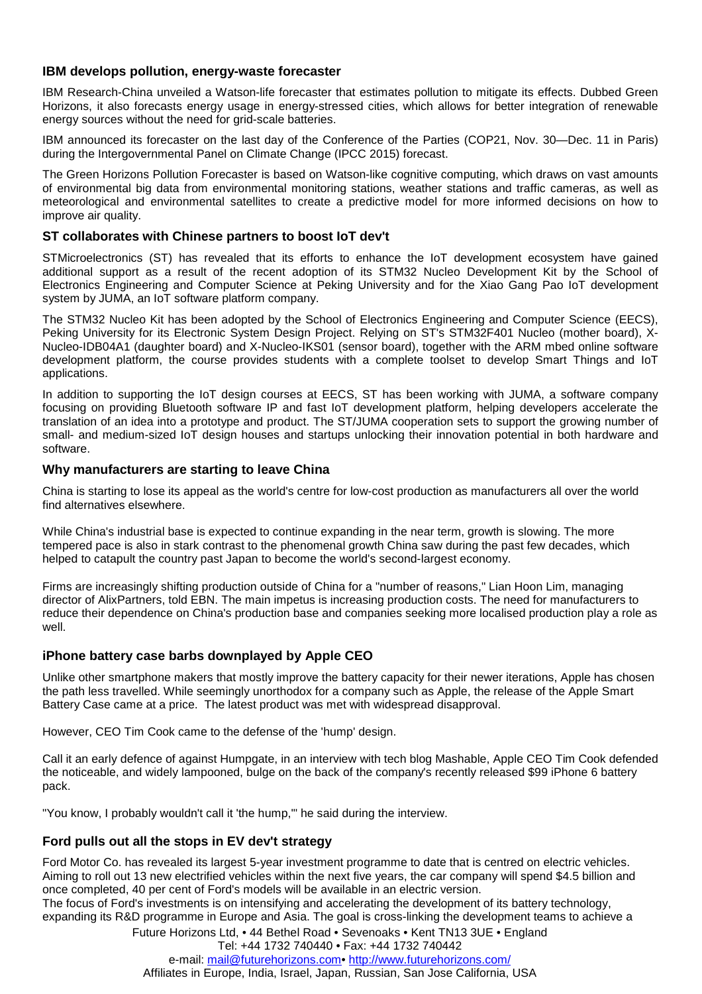## <span id="page-1-0"></span>**IBM develops pollution, energy-waste forecaster**

IBM Research-China unveiled a Watson-life forecaster that estimates pollution to mitigate its effects. Dubbed Green Horizons, it also forecasts energy usage in energy-stressed cities, which allows for better integration of renewable energy sources without the need for grid-scale batteries.

IBM announced its forecaster on the last day of the Conference of the Parties (COP21, Nov. 30—Dec. 11 in Paris) during the Intergovernmental Panel on Climate Change (IPCC 2015) forecast.

The Green Horizons Pollution Forecaster is based on Watson-like cognitive computing, which draws on vast amounts of environmental big data from environmental monitoring stations, weather stations and traffic cameras, as well as meteorological and environmental satellites to create a predictive model for more informed decisions on how to improve air quality.

## **ST collaborates with Chinese partners to boost IoT dev't**

STMicroelectronics (ST) has revealed that its efforts to enhance the IoT development ecosystem have gained additional support as a result of the recent adoption of its STM32 Nucleo Development Kit by the School of Electronics Engineering and Computer Science at Peking University and for the Xiao Gang Pao IoT development system by JUMA, an IoT software platform company.

The STM32 Nucleo Kit has been adopted by the School of Electronics Engineering and Computer Science (EECS), Peking University for its Electronic System Design Project. Relying on ST's STM32F401 Nucleo (mother board), X-Nucleo-IDB04A1 (daughter board) and X-Nucleo-IKS01 (sensor board), together with the ARM mbed online software development platform, the course provides students with a complete toolset to develop Smart Things and IoT applications.

In addition to supporting the IoT design courses at EECS, ST has been working with JUMA, a software company focusing on providing Bluetooth software IP and fast IoT development platform, helping developers accelerate the translation of an idea into a prototype and product. The ST/JUMA cooperation sets to support the growing number of small- and medium-sized IoT design houses and startups unlocking their innovation potential in both hardware and software.

#### **Why manufacturers are starting to leave China**

China is starting to lose its appeal as the world's centre for low-cost production as manufacturers all over the world find alternatives elsewhere.

While China's industrial base is expected to continue expanding in the near term, growth is slowing. The more tempered pace is also in stark contrast to the phenomenal growth China saw during the past few decades, which helped to catapult the country past Japan to become the world's second-largest economy.

Firms are increasingly shifting production outside of China for a "number of reasons," Lian Hoon Lim, managing director of AlixPartners, told EBN. The main impetus is increasing production costs. The need for manufacturers to reduce their dependence on China's production base and companies seeking more localised production play a role as well.

## **iPhone battery case barbs downplayed by Apple CEO**

Unlike other smartphone makers that mostly improve the battery capacity for their newer iterations, Apple has chosen the path less travelled. While seemingly unorthodox for a company such as Apple, the release of the Apple Smart Battery Case came at a price. The latest product was met with widespread disapproval.

However, CEO Tim Cook came to the defense of the 'hump' design.

Call it an early defence of against Humpgate, in an interview with tech blog Mashable, Apple CEO Tim Cook defended the noticeable, and widely lampooned, bulge on the back of the company's recently released \$99 iPhone 6 battery pack.

"You know, I probably wouldn't call it 'the hump,'" he said during the interview.

#### **Ford pulls out all the stops in EV dev't strategy**

Ford Motor Co. has revealed its largest 5-year investment programme to date that is centred on electric vehicles. Aiming to roll out 13 new electrified vehicles within the next five years, the car company will spend \$4.5 billion and once completed, 40 per cent of Ford's models will be available in an electric version. The focus of Ford's investments is on intensifying and accelerating the development of its battery technology,

expanding its R&D programme in Europe and Asia. The goal is cross-linking the development teams to achieve a